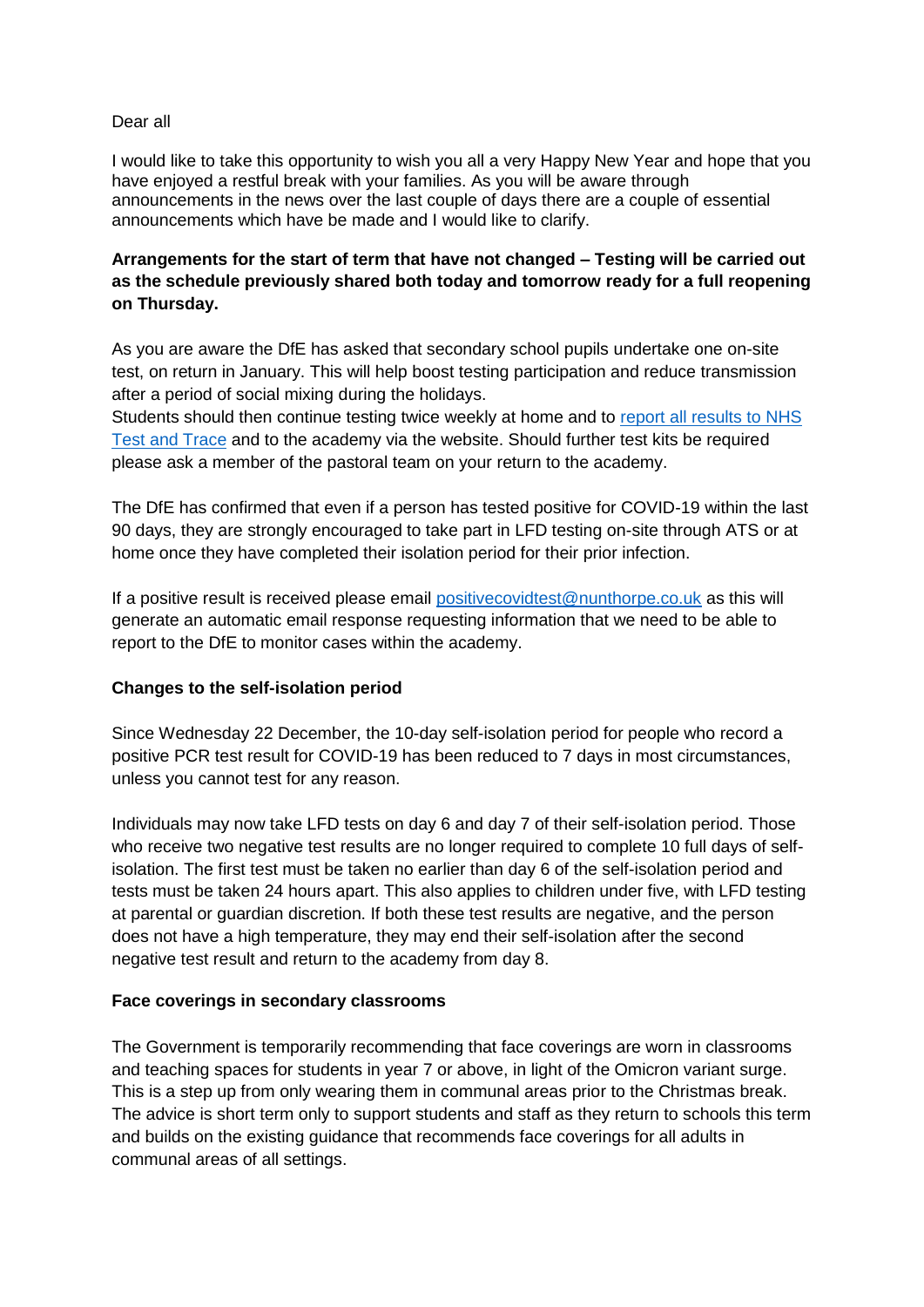#### Dear all

I would like to take this opportunity to wish you all a very Happy New Year and hope that you have enjoyed a restful break with your families. As you will be aware through announcements in the news over the last couple of days there are a couple of essential announcements which have be made and I would like to clarify.

# **Arrangements for the start of term that have not changed – Testing will be carried out as the schedule previously shared both today and tomorrow ready for a full reopening on Thursday.**

As you are aware the DfE has asked that secondary school pupils undertake one on-site test, on return in January. This will help boost testing participation and reduce transmission after a period of social mixing during the holidays.

Students should then continue testing twice weekly at home and to [report all results to NHS](https://www.gov.uk/report-covid19-result)  [Test and Trace](https://www.gov.uk/report-covid19-result) and to the academy via the website. Should further test kits be required please ask a member of the pastoral team on your return to the academy.

The DfE has confirmed that even if a person has tested positive for COVID-19 within the last 90 days, they are strongly encouraged to take part in LFD testing on-site through ATS or at home once they have completed their isolation period for their prior infection.

If a positive result is received please email [positivecovidtest@nunthorpe.co.uk](mailto:positivecovidtest@nunthorpe.co.uk) as this will generate an automatic email response requesting information that we need to be able to report to the DfE to monitor cases within the academy.

### **Changes to the self-isolation period**

Since Wednesday 22 December, the 10-day self-isolation period for people who record a positive PCR test result for COVID-19 has been reduced to 7 days in most circumstances, unless you cannot test for any reason.

Individuals may now take LFD tests on day 6 and day 7 of their self-isolation period. Those who receive two negative test results are no longer required to complete 10 full days of selfisolation. The first test must be taken no earlier than day 6 of the self-isolation period and tests must be taken 24 hours apart. This also applies to children under five, with LFD testing at parental or guardian discretion. If both these test results are negative, and the person does not have a high temperature, they may end their self-isolation after the second negative test result and return to the academy from day 8.

### **Face coverings in secondary classrooms**

The Government is temporarily recommending that face coverings are worn in classrooms and teaching spaces for students in year 7 or above, in light of the Omicron variant surge. This is a step up from only wearing them in communal areas prior to the Christmas break. The advice is short term only to support students and staff as they return to schools this term and builds on the existing guidance that recommends face coverings for all adults in communal areas of all settings.